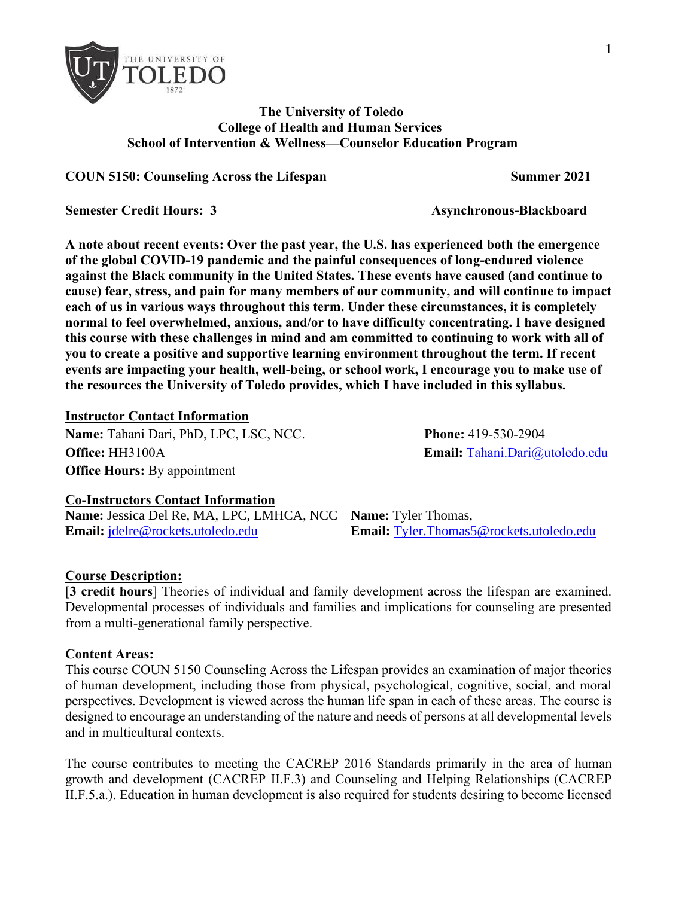

### **The University of Toledo College of Health and Human Services School of Intervention & Wellness—Counselor Education Program**

**COUN 5150: Counseling Across the Lifespan Summer 2021**

**Semester Credit Hours: 3 Asynchronous-Blackboard** 

**A note about recent events: Over the past year, the U.S. has experienced both the emergence of the global COVID-19 pandemic and the painful consequences of long-endured violence against the Black community in the United States. These events have caused (and continue to cause) fear, stress, and pain for many members of our community, and will continue to impact each of us in various ways throughout this term. Under these circumstances, it is completely normal to feel overwhelmed, anxious, and/or to have difficulty concentrating. I have designed this course with these challenges in mind and am committed to continuing to work with all of you to create a positive and supportive learning environment throughout the term. If recent events are impacting your health, well-being, or school work, I encourage you to make use of the resources the University of Toledo provides, which I have included in this syllabus.**

#### **Instructor Contact Information**

**Name:** Tahani Dari, PhD, LPC, LSC, NCC. **Phone:** 419-530-2904 **Office:** HH3100A **Email:** Tahani.Dari@utoledo.edu **Office Hours: By appointment** 

#### **Co-Instructors Contact Information**

**Name:** Jessica Del Re, MA, LPC, LMHCA, NCC **Name:** Tyler Thomas, **Email:** [jdelre@rockets.utoledo.edu](mailto:jdelre@rockets.utoledo.edu) **Email:** [Tyler.Thomas5@rockets.utoledo.edu](mailto:Tyler.Thomas5@rockets.utoledo.edu)

#### **Course Description:**

[**3 credit hours**] Theories of individual and family development across the lifespan are examined. Developmental processes of individuals and families and implications for counseling are presented from a multi-generational family perspective.

#### **Content Areas:**

This course COUN 5150 Counseling Across the Lifespan provides an examination of major theories of human development, including those from physical, psychological, cognitive, social, and moral perspectives. Development is viewed across the human life span in each of these areas. The course is designed to encourage an understanding of the nature and needs of persons at all developmental levels and in multicultural contexts.

The course contributes to meeting the CACREP 2016 Standards primarily in the area of human growth and development (CACREP II.F.3) and Counseling and Helping Relationships (CACREP II.F.5.a.). Education in human development is also required for students desiring to become licensed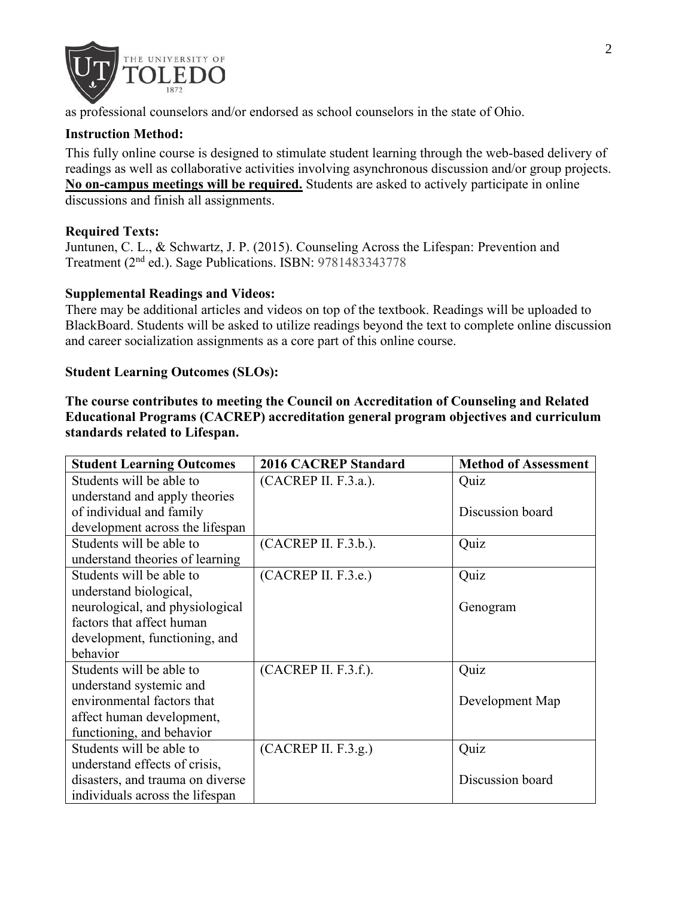

as professional counselors and/or endorsed as school counselors in the state of Ohio.

### **Instruction Method:**

This fully online course is designed to stimulate student learning through the web-based delivery of readings as well as collaborative activities involving asynchronous discussion and/or group projects. **No on-campus meetings will be required.** Students are asked to actively participate in online discussions and finish all assignments.

### **Required Texts:**

Juntunen, C. L., & Schwartz, J. P. (2015). Counseling Across the Lifespan: Prevention and Treatment (2nd ed.). Sage Publications. ISBN: 9781483343778

### **Supplemental Readings and Videos:**

There may be additional articles and videos on top of the textbook. Readings will be uploaded to BlackBoard. Students will be asked to utilize readings beyond the text to complete online discussion and career socialization assignments as a core part of this online course.

### **Student Learning Outcomes (SLOs):**

**The course contributes to meeting the Council on Accreditation of Counseling and Related Educational Programs (CACREP) accreditation general program objectives and curriculum standards related to Lifespan.**

| <b>Student Learning Outcomes</b> | <b>2016 CACREP Standard</b> | <b>Method of Assessment</b> |  |
|----------------------------------|-----------------------------|-----------------------------|--|
| Students will be able to         | (CACREP II. F.3.a.).        | Quiz                        |  |
| understand and apply theories    |                             |                             |  |
| of individual and family         |                             | Discussion board            |  |
| development across the lifespan  |                             |                             |  |
| Students will be able to         | (CACREP II. F.3.b.).        | Quiz                        |  |
| understand theories of learning  |                             |                             |  |
| Students will be able to         | (CACREP II. F.3.e.)         | Quiz                        |  |
| understand biological,           |                             |                             |  |
| neurological, and physiological  |                             | Genogram                    |  |
| factors that affect human        |                             |                             |  |
| development, functioning, and    |                             |                             |  |
| behavior                         |                             |                             |  |
| Students will be able to         | (CACREP II. F.3.f.).        | Quiz                        |  |
| understand systemic and          |                             |                             |  |
| environmental factors that       |                             | Development Map             |  |
| affect human development,        |                             |                             |  |
| functioning, and behavior        |                             |                             |  |
| Students will be able to         | (CACREP II. F.3.g.)         | Quiz                        |  |
| understand effects of crisis,    |                             |                             |  |
| disasters, and trauma on diverse |                             | Discussion board            |  |
| individuals across the lifespan  |                             |                             |  |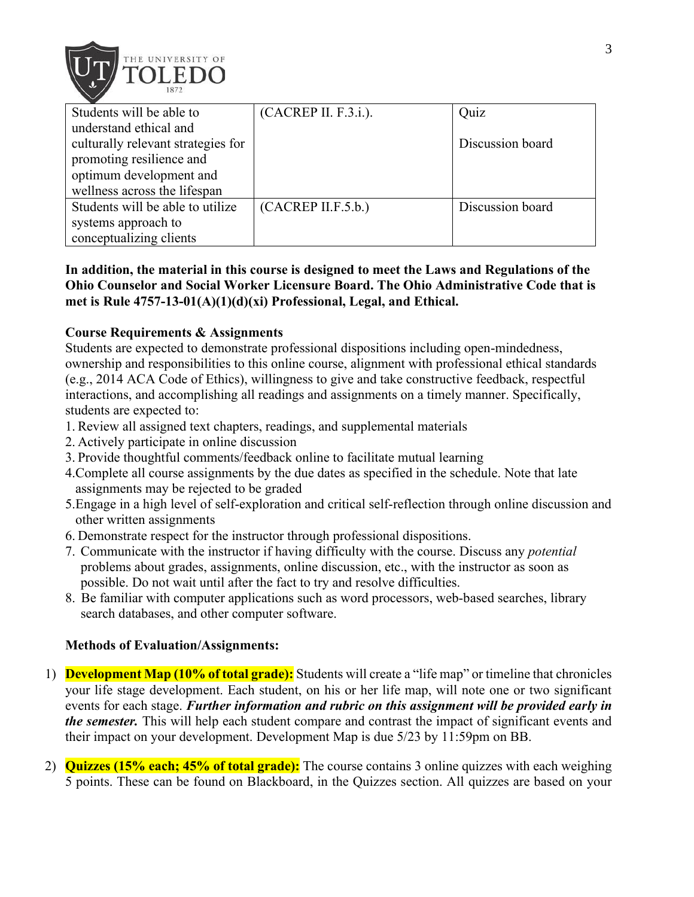

| Students will be able to           | (CACREP II. F.3.i.). | Quiz             |
|------------------------------------|----------------------|------------------|
| understand ethical and             |                      |                  |
| culturally relevant strategies for |                      | Discussion board |
| promoting resilience and           |                      |                  |
| optimum development and            |                      |                  |
| wellness across the lifespan       |                      |                  |
| Students will be able to utilize   | (CACREP II.F.5.b.)   | Discussion board |
| systems approach to                |                      |                  |
| conceptualizing clients            |                      |                  |

## **In addition, the material in this course is designed to meet the Laws and Regulations of the Ohio Counselor and Social Worker Licensure Board. The Ohio Administrative Code that is met is Rule 4757-13-01(A)(1)(d)(xi) Professional, Legal, and Ethical.**

### **Course Requirements & Assignments**

Students are expected to demonstrate professional dispositions including open-mindedness, ownership and responsibilities to this online course, alignment with professional ethical standards (e.g., 2014 ACA Code of Ethics), willingness to give and take constructive feedback, respectful interactions, and accomplishing all readings and assignments on a timely manner. Specifically, students are expected to:

- 1. Review all assigned text chapters, readings, and supplemental materials
- 2. Actively participate in online discussion
- 3. Provide thoughtful comments/feedback online to facilitate mutual learning
- 4.Complete all course assignments by the due dates as specified in the schedule. Note that late assignments may be rejected to be graded
- 5.Engage in a high level of self-exploration and critical self-reflection through online discussion and other written assignments
- 6. Demonstrate respect for the instructor through professional dispositions.
- 7. Communicate with the instructor if having difficulty with the course. Discuss any *potential*  problems about grades, assignments, online discussion, etc., with the instructor as soon as possible. Do not wait until after the fact to try and resolve difficulties.
- 8. Be familiar with computer applications such as word processors, web-based searches, library search databases, and other computer software.

#### **Methods of Evaluation/Assignments:**

- 1) **Development Map (10% of total grade):** Students will create a "life map" or timeline that chronicles your life stage development. Each student, on his or her life map, will note one or two significant events for each stage. *Further information and rubric on this assignment will be provided early in the semester.* This will help each student compare and contrast the impact of significant events and their impact on your development. Development Map is due 5/23 by 11:59pm on BB.
- 2) **Quizzes (15% each; 45% of total grade):** The course contains 3 online quizzes with each weighing 5 points. These can be found on Blackboard, in the Quizzes section. All quizzes are based on your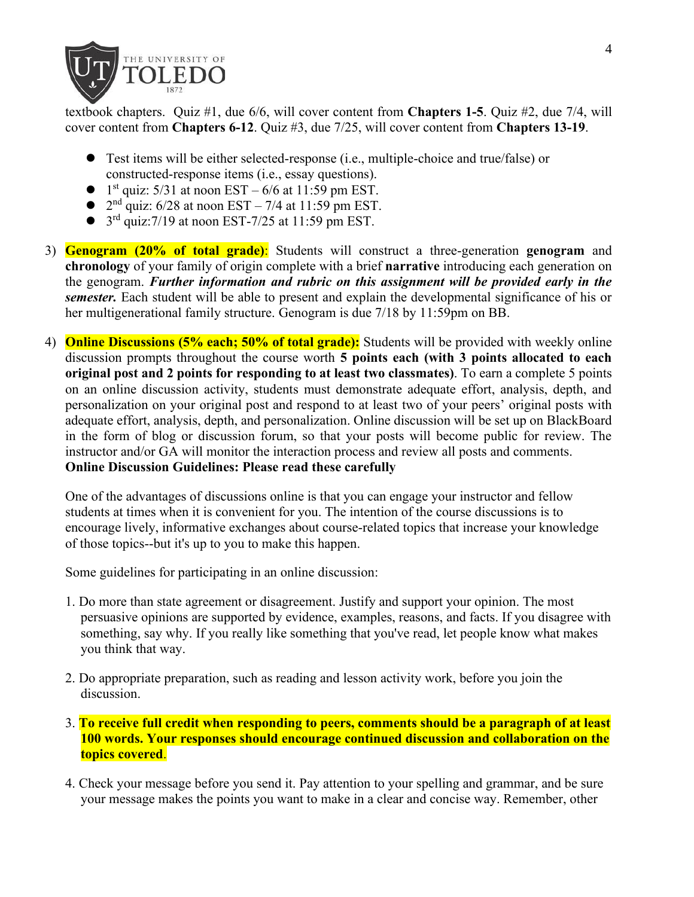

textbook chapters. Quiz #1, due 6/6, will cover content from **Chapters 1-5**. Quiz #2, due 7/4, will cover content from **Chapters 6-12**. Quiz #3, due 7/25, will cover content from **Chapters 13-19**.

- ⚫ Test items will be either selected-response (i.e., multiple-choice and true/false) or constructed-response items (i.e., essay questions).
- $\bullet$  1<sup>st</sup> quiz: 5/31 at noon EST 6/6 at 11:59 pm EST.
- $2<sup>nd</sup>$  quiz: 6/28 at noon EST 7/4 at 11:59 pm EST.
- $\bullet$  3<sup>rd</sup> quiz:7/19 at noon EST-7/25 at 11:59 pm EST.
- 3) **Genogram (20% of total grade)**: Students will construct a three-generation **genogram** and **chronology** of your family of origin complete with a brief **narrative** introducing each generation on the genogram. *Further information and rubric on this assignment will be provided early in the semester.* Each student will be able to present and explain the developmental significance of his or her multigenerational family structure. Genogram is due 7/18 by 11:59pm on BB.
- 4) **Online Discussions (5% each; 50% of total grade):** Students will be provided with weekly online discussion prompts throughout the course worth **5 points each (with 3 points allocated to each original post and 2 points for responding to at least two classmates)**. To earn a complete 5 points on an online discussion activity, students must demonstrate adequate effort, analysis, depth, and personalization on your original post and respond to at least two of your peers' original posts with adequate effort, analysis, depth, and personalization. Online discussion will be set up on BlackBoard in the form of blog or discussion forum, so that your posts will become public for review. The instructor and/or GA will monitor the interaction process and review all posts and comments. **Online Discussion Guidelines: Please read these carefully**

One of the advantages of discussions online is that you can engage your instructor and fellow students at times when it is convenient for you. The intention of the course discussions is to encourage lively, informative exchanges about course-related topics that increase your knowledge of those topics--but it's up to you to make this happen.

Some guidelines for participating in an online discussion:

- 1. Do more than state agreement or disagreement. Justify and support your opinion. The most persuasive opinions are supported by evidence, examples, reasons, and facts. If you disagree with something, say why. If you really like something that you've read, let people know what makes you think that way.
- 2. Do appropriate preparation, such as reading and lesson activity work, before you join the discussion.
- 3. **To receive full credit when responding to peers, comments should be a paragraph of at least 100 words. Your responses should encourage continued discussion and collaboration on the topics covered**.
- 4. Check your message before you send it. Pay attention to your spelling and grammar, and be sure your message makes the points you want to make in a clear and concise way. Remember, other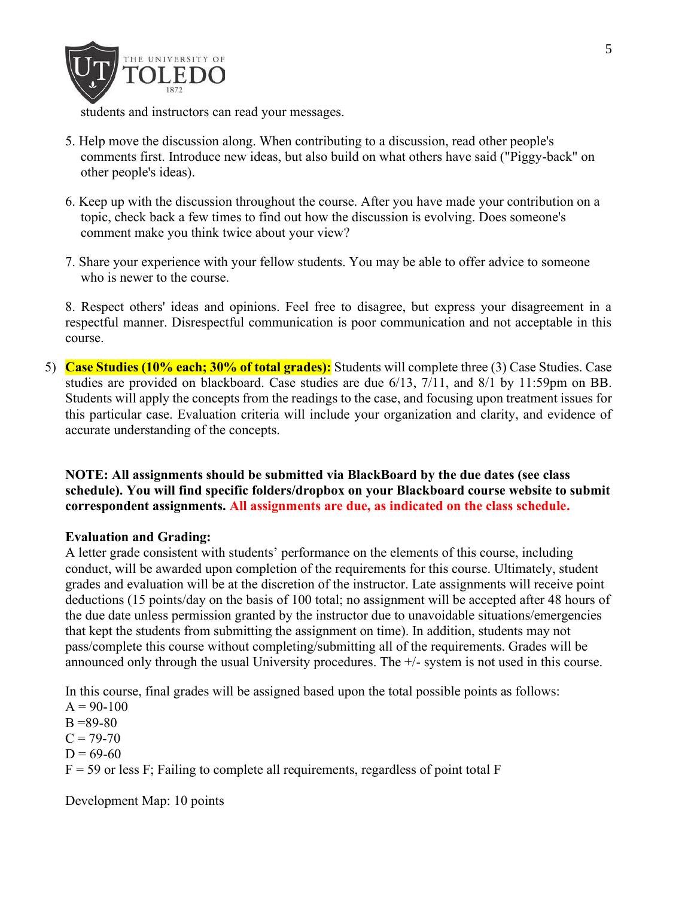

students and instructors can read your messages.

- 5. Help move the discussion along. When contributing to a discussion, read other people's comments first. Introduce new ideas, but also build on what others have said ("Piggy-back" on other people's ideas).
- 6. Keep up with the discussion throughout the course. After you have made your contribution on a topic, check back a few times to find out how the discussion is evolving. Does someone's comment make you think twice about your view?
- 7. Share your experience with your fellow students. You may be able to offer advice to someone who is newer to the course.

8. Respect others' ideas and opinions. Feel free to disagree, but express your disagreement in a respectful manner. Disrespectful communication is poor communication and not acceptable in this course.

5) **Case Studies (10% each; 30% of total grades):** Students will complete three (3) Case Studies. Case studies are provided on blackboard. Case studies are due 6/13, 7/11, and 8/1 by 11:59pm on BB. Students will apply the concepts from the readings to the case, and focusing upon treatment issues for this particular case. Evaluation criteria will include your organization and clarity, and evidence of accurate understanding of the concepts.

**NOTE: All assignments should be submitted via BlackBoard by the due dates (see class schedule). You will find specific folders/dropbox on your Blackboard course website to submit correspondent assignments. All assignments are due, as indicated on the class schedule.** 

#### **Evaluation and Grading:**

A letter grade consistent with students' performance on the elements of this course, including conduct, will be awarded upon completion of the requirements for this course. Ultimately, student grades and evaluation will be at the discretion of the instructor. Late assignments will receive point deductions (15 points/day on the basis of 100 total; no assignment will be accepted after 48 hours of the due date unless permission granted by the instructor due to unavoidable situations/emergencies that kept the students from submitting the assignment on time). In addition, students may not pass/complete this course without completing/submitting all of the requirements. Grades will be announced only through the usual University procedures. The +/- system is not used in this course.

In this course, final grades will be assigned based upon the total possible points as follows:  $A = 90-100$  $B = 89-80$  $C = 79-70$  $D = 69-60$  $F = 59$  or less F; Failing to complete all requirements, regardless of point total F

Development Map: 10 points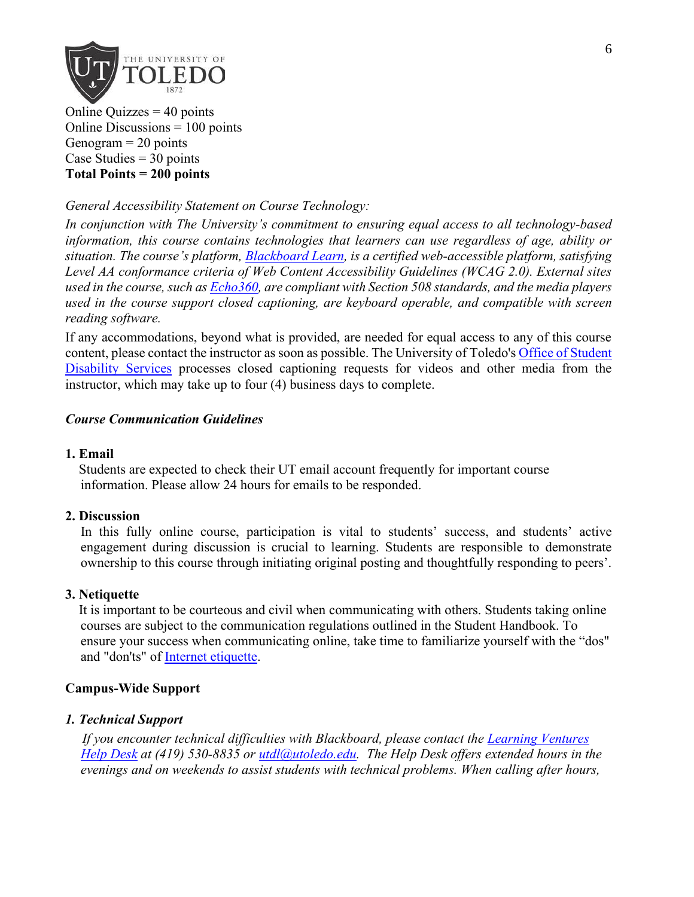

Online Quizzes  $=$  40 points Online Discussions = 100 points Genogram  $= 20$  points Case Studies  $=$  30 points **Total Points = 200 points**

## *General Accessibility Statement on Course Technology:*

*In conjunction with The University's commitment to ensuring equal access to all technology-based information, this course contains technologies that learners can use regardless of age, ability or situation. The course's platform, [Blackboard Learn,](http://www.blackboard.com/Platforms/Learn/Resources/Accessibility.aspx) is a certified web-accessible platform, satisfying Level AA conformance criteria of Web Content Accessibility Guidelines (WCAG 2.0). External sites used in the course, such as [Echo360,](http://echo360.com/press-release/echo360-earns-vpat-federal-government-section-508-accessibility-standard-credentialing) are compliant with Section 508 standards, and the media players used in the course support closed captioning, are keyboard operable, and compatible with screen reading software.* 

If any accommodations, beyond what is provided, are needed for equal access to any of this course content, please contact the instructor as soon as possible. The University of Toledo's Office of Student [Disability Services](http://www.utoledo.edu/offices/student-disability-services/) processes closed captioning requests for videos and other media from the instructor, which may take up to four (4) business days to complete.

#### *Course Communication Guidelines*

#### **1. Email**

 Students are expected to check their UT email account frequently for important course information. Please allow 24 hours for emails to be responded.

#### **2. Discussion**

In this fully online course, participation is vital to students' success, and students' active engagement during discussion is crucial to learning. Students are responsible to demonstrate ownership to this course through initiating original posting and thoughtfully responding to peers'.

#### **3. Netiquette**

It is important to be courteous and civil when communicating with others. Students taking online courses are subject to the communication regulations outlined in the Student Handbook. To ensure your success when communicating online, take time to familiarize yourself with the "dos" and "don'ts" of [Internet etiquette.](http://www.albion.com/netiquette)

#### **Campus-Wide Support**

#### *1. Technical Support*

 *If you encounter technical difficulties with Blackboard, please contact the [Learning Ventures](http://www.utoledo.edu/dl/helpdesk/index.html)  [Help Desk](http://www.utoledo.edu/dl/helpdesk/index.html) at (419) 530-8835 or [utdl@utoledo.edu.](mailto:utdl@utoledo.edu) The Help Desk offers extended hours in the evenings and on weekends to assist students with technical problems. When calling after hours,*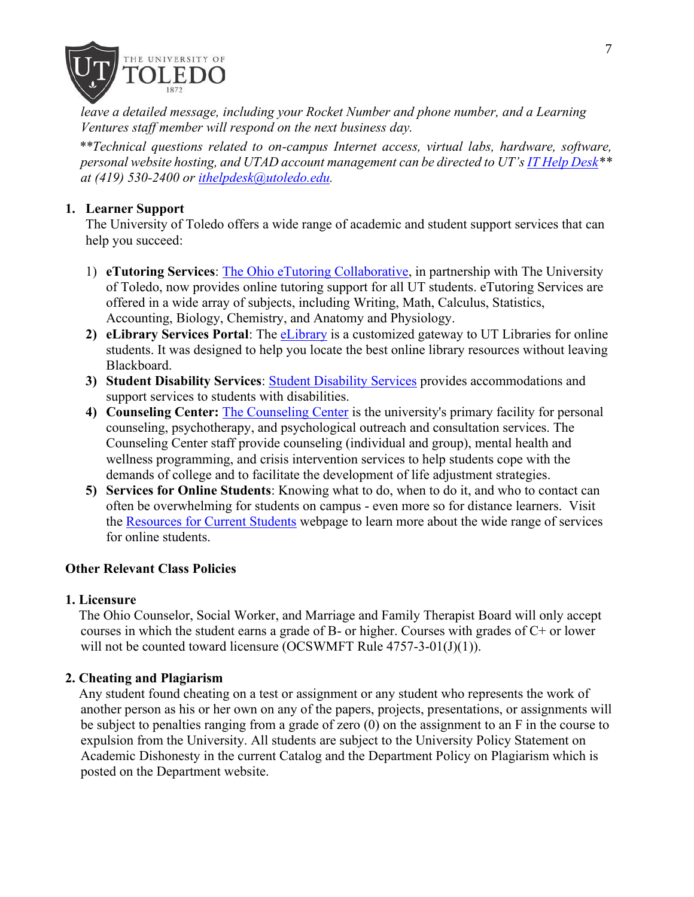

*leave a detailed message, including your Rocket Number and phone number, and a Learning Ventures staff member will respond on the next business day.* 

 *\*\*Technical questions related to on-campus Internet access, virtual labs, hardware, software, personal website hosting, and UTAD account management can be directed to UT's [IT Help Desk\\*](http://www.utoledo.edu/it/CS/HelpDesk.html)\* at (419) 530-2400 or [ithelpdesk@utoledo.edu.](mailto:ithelpdesk@utoledo.edu)*

## **1. Learner Support**

The University of Toledo offers a wide range of academic and student support services that can help you succeed:

- 1) **eTutoring Services**: [The Ohio eTutoring Collaborative,](https://www.etutoring.org/login.cfm?institutionid=232&returnPage) in partnership with The University of Toledo, now provides online tutoring support for all UT students. eTutoring Services are offered in a wide array of subjects, including Writing, Math, Calculus, Statistics, Accounting, Biology, Chemistry, and Anatomy and Physiology.
- **2) eLibrary Services Portal**: The [eLibrary](http://www.utoledo.edu/dl/students/elibrary.html) is a customized gateway to UT Libraries for online students. It was designed to help you locate the best online library resources without leaving Blackboard.
- **3) Student Disability Services**: [Student Disability Services](http://www.utoledo.edu/offices/student-disability-services/index.html) provides accommodations and support services to students with disabilities.
- **4) Counseling Center:** [The Counseling Center](http://www.utoledo.edu/studentaffairs/counseling/) is the university's primary facility for personal counseling, psychotherapy, and psychological outreach and consultation services. The Counseling Center staff provide counseling (individual and group), mental health and wellness programming, and crisis intervention services to help students cope with the demands of college and to facilitate the development of life adjustment strategies.
- **5) Services for Online Students**: Knowing what to do, when to do it, and who to contact can often be overwhelming for students on campus - even more so for distance learners. Visit the [Resources for Current Students](http://www.utoledo.edu/dl/students/student_serv.html) webpage to learn more about the wide range of services for online students.

## **Other Relevant Class Policies**

## **1. Licensure**

 The Ohio Counselor, Social Worker, and Marriage and Family Therapist Board will only accept courses in which the student earns a grade of B- or higher. Courses with grades of C+ or lower will not be counted toward licensure (OCSWMFT Rule  $4757-3-01(J)(1)$ ).

## **2. Cheating and Plagiarism**

 Any student found cheating on a test or assignment or any student who represents the work of another person as his or her own on any of the papers, projects, presentations, or assignments will be subject to penalties ranging from a grade of zero (0) on the assignment to an F in the course to expulsion from the University. All students are subject to the University Policy Statement on Academic Dishonesty in the current Catalog and the Department Policy on Plagiarism which is posted on the Department website.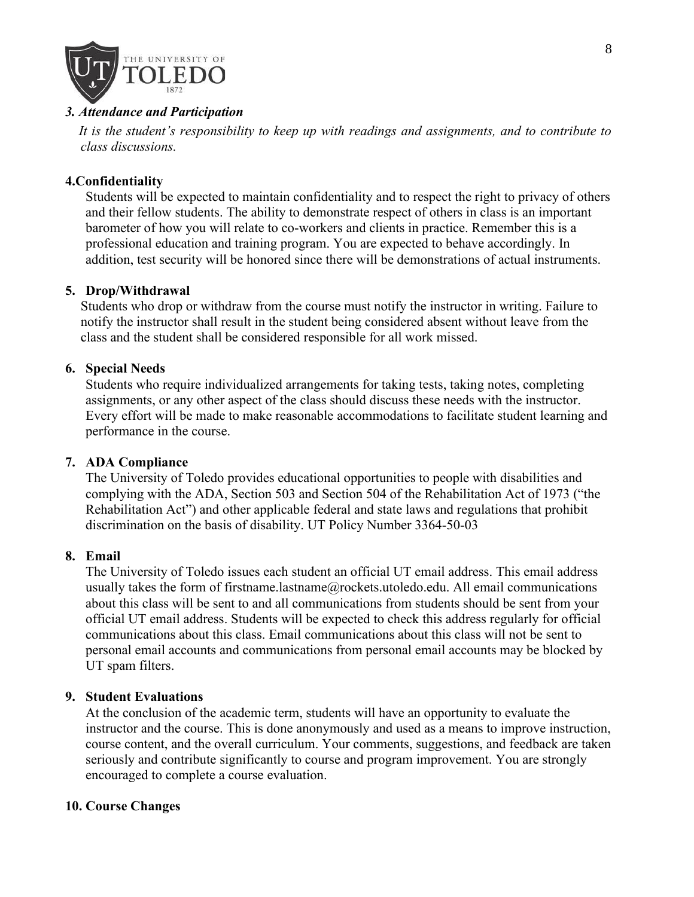

### *3. Attendance and Participation*

 *It is the student's responsibility to keep up with readings and assignments, and to contribute to class discussions.*

### **4.Confidentiality**

Students will be expected to maintain confidentiality and to respect the right to privacy of others and their fellow students. The ability to demonstrate respect of others in class is an important barometer of how you will relate to co-workers and clients in practice. Remember this is a professional education and training program. You are expected to behave accordingly. In addition, test security will be honored since there will be demonstrations of actual instruments.

#### **5. Drop/Withdrawal**

Students who drop or withdraw from the course must notify the instructor in writing. Failure to notify the instructor shall result in the student being considered absent without leave from the class and the student shall be considered responsible for all work missed.

### **6. Special Needs**

Students who require individualized arrangements for taking tests, taking notes, completing assignments, or any other aspect of the class should discuss these needs with the instructor. Every effort will be made to make reasonable accommodations to facilitate student learning and performance in the course.

#### **7. ADA Compliance**

The University of Toledo provides educational opportunities to people with disabilities and complying with the ADA, Section 503 and Section 504 of the Rehabilitation Act of 1973 ("the Rehabilitation Act") and other applicable federal and state laws and regulations that prohibit discrimination on the basis of disability. UT Policy Number 3364-50-03

#### **8. Email**

The University of Toledo issues each student an official UT email address. This email address usually takes the form of firstname.lastname@rockets.utoledo.edu. All email communications about this class will be sent to and all communications from students should be sent from your official UT email address. Students will be expected to check this address regularly for official communications about this class. Email communications about this class will not be sent to personal email accounts and communications from personal email accounts may be blocked by UT spam filters.

#### **9. Student Evaluations**

At the conclusion of the academic term, students will have an opportunity to evaluate the instructor and the course. This is done anonymously and used as a means to improve instruction, course content, and the overall curriculum. Your comments, suggestions, and feedback are taken seriously and contribute significantly to course and program improvement. You are strongly encouraged to complete a course evaluation.

## **10. Course Changes**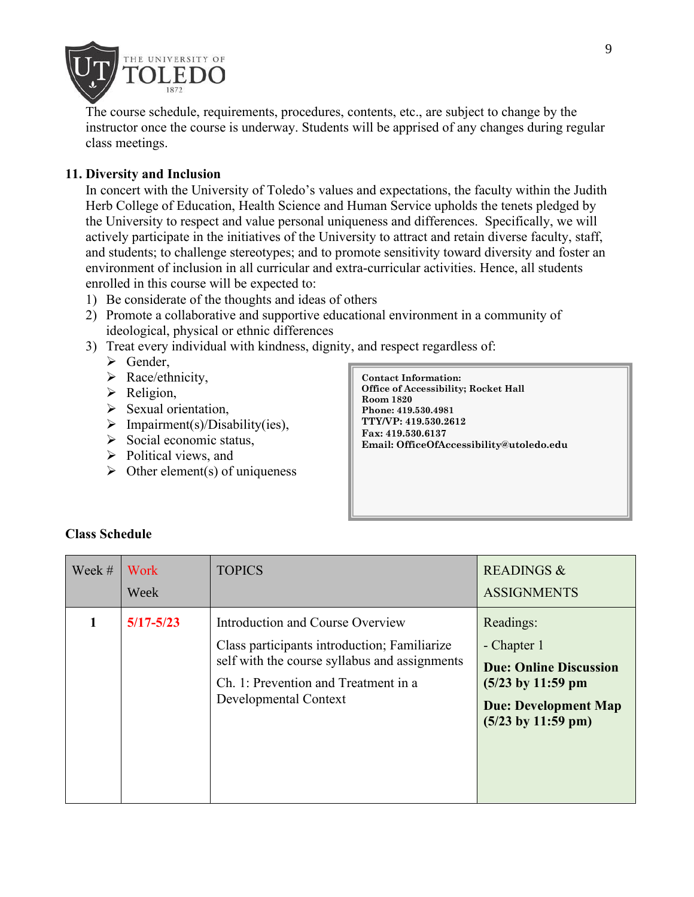

The course schedule, requirements, procedures, contents, etc., are subject to change by the instructor once the course is underway. Students will be apprised of any changes during regular class meetings.

# **11. Diversity and Inclusion**

In concert with the University of Toledo's values and expectations, the faculty within the Judith Herb College of Education, Health Science and Human Service upholds the tenets pledged by the University to respect and value personal uniqueness and differences. Specifically, we will actively participate in the initiatives of the University to attract and retain diverse faculty, staff, and students; to challenge stereotypes; and to promote sensitivity toward diversity and foster an environment of inclusion in all curricular and extra-curricular activities. Hence, all students enrolled in this course will be expected to:

- 1) Be considerate of the thoughts and ideas of others
- 2) Promote a collaborative and supportive educational environment in a community of ideological, physical or ethnic differences
- 3) Treat every individual with kindness, dignity, and respect regardless of:
	- ➢ Gender,
	- $\triangleright$  Race/ethnicity,
	- ➢ Religion,
	- ➢ Sexual orientation,
	- $\triangleright$  Impairment(s)/Disability(ies),
	- $\triangleright$  Social economic status,
	- ➢ Political views, and
	- $\triangleright$  Other element(s) of uniqueness

**Contact Information: Office of Accessibility; Rocket Hall Room 1820 Phone: 419.530.4981 TTY/VP: 419.530.2612 Fax: 419.530.6137 Email: OfficeOfAccessibility@utoledo.edu**

| Week $#$ | Work<br>Week  | <b>TOPICS</b>                                                                                                                                                                                      | <b>READINGS &amp;</b><br><b>ASSIGNMENTS</b>                                                                                                              |
|----------|---------------|----------------------------------------------------------------------------------------------------------------------------------------------------------------------------------------------------|----------------------------------------------------------------------------------------------------------------------------------------------------------|
|          | $5/17 - 5/23$ | Introduction and Course Overview<br>Class participants introduction; Familiarize<br>self with the course syllabus and assignments<br>Ch. 1: Prevention and Treatment in a<br>Developmental Context | Readings:<br>- Chapter 1<br><b>Due: Online Discussion</b><br>$(5/23$ by 11:59 pm<br><b>Due: Development Map</b><br>$(5/23 \text{ by } 11:59 \text{ pm})$ |

## **Class Schedule**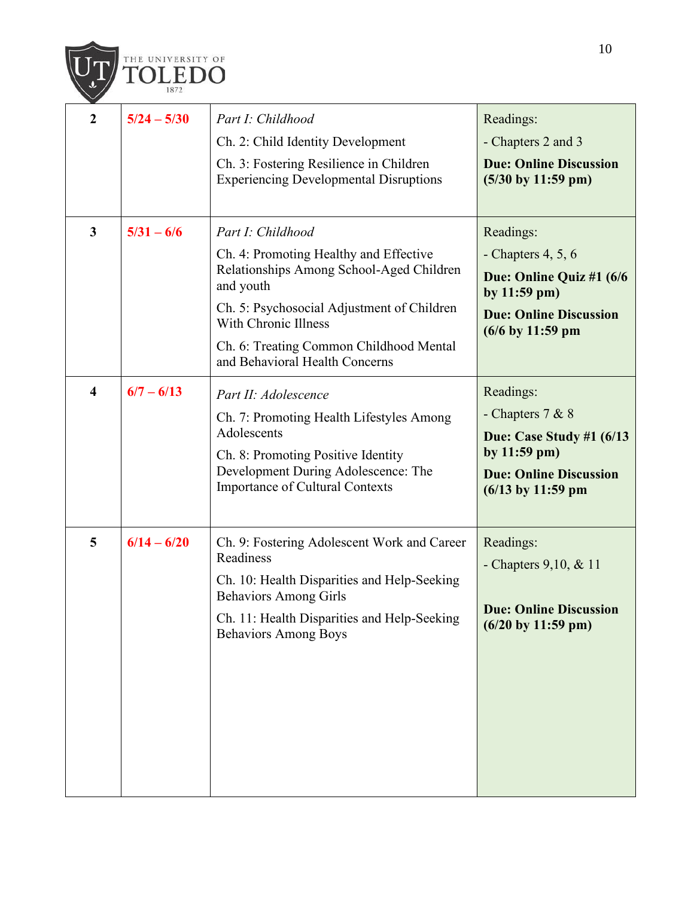

| $\overline{2}$          | $5/24 - 5/30$ | Part I: Childhood<br>Ch. 2: Child Identity Development<br>Ch. 3: Fostering Resilience in Children<br><b>Experiencing Developmental Disruptions</b>                                                                                                                      | Readings:<br>- Chapters 2 and 3<br><b>Due: Online Discussion</b><br>$(5/30 \text{ by } 11:59 \text{ pm})$                                |
|-------------------------|---------------|-------------------------------------------------------------------------------------------------------------------------------------------------------------------------------------------------------------------------------------------------------------------------|------------------------------------------------------------------------------------------------------------------------------------------|
| $\mathbf{3}$            | $5/31 - 6/6$  | Part I: Childhood<br>Ch. 4: Promoting Healthy and Effective<br>Relationships Among School-Aged Children<br>and youth<br>Ch. 5: Psychosocial Adjustment of Children<br>With Chronic Illness<br>Ch. 6: Treating Common Childhood Mental<br>and Behavioral Health Concerns | Readings:<br>- Chapters $4, 5, 6$<br>Due: Online Quiz #1 (6/6<br>by 11:59 pm)<br><b>Due: Online Discussion</b><br>$(6/6$ by 11:59 pm     |
| $\overline{\mathbf{4}}$ | $6/7 - 6/13$  | Part II: Adolescence<br>Ch. 7: Promoting Health Lifestyles Among<br>Adolescents<br>Ch. 8: Promoting Positive Identity<br>Development During Adolescence: The<br><b>Importance of Cultural Contexts</b>                                                                  | Readings:<br>- Chapters $7 & 8$<br>Due: Case Study #1 $(6/13)$<br>by $11:59$ pm)<br><b>Due: Online Discussion</b><br>$(6/13$ by 11:59 pm |
| 5                       | $6/14 - 6/20$ | Ch. 9: Fostering Adolescent Work and Career<br>Readiness<br>Ch. 10: Health Disparities and Help-Seeking<br><b>Behaviors Among Girls</b><br>Ch. 11: Health Disparities and Help-Seeking<br><b>Behaviors Among Boys</b>                                                   | Readings:<br>- Chapters 9, 10, & 11<br><b>Due: Online Discussion</b><br>$(6/20 \text{ by } 11:59 \text{ pm})$                            |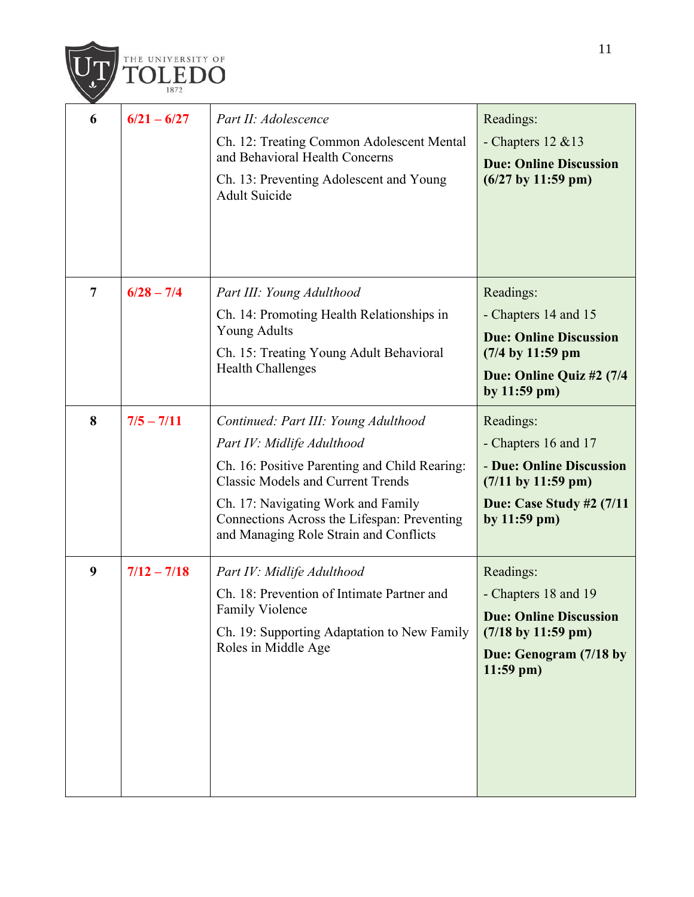

| 6 | $6/21 - 6/27$ | Part II: Adolescence<br>Ch. 12: Treating Common Adolescent Mental<br>and Behavioral Health Concerns<br>Ch. 13: Preventing Adolescent and Young<br>Adult Suicide                                                                                                                                | Readings:<br>- Chapters $12 \& 13$<br><b>Due: Online Discussion</b><br>$(6/27$ by 11:59 pm)                                                                           |
|---|---------------|------------------------------------------------------------------------------------------------------------------------------------------------------------------------------------------------------------------------------------------------------------------------------------------------|-----------------------------------------------------------------------------------------------------------------------------------------------------------------------|
| 7 | $6/28 - 7/4$  | Part III: Young Adulthood<br>Ch. 14: Promoting Health Relationships in<br><b>Young Adults</b><br>Ch. 15: Treating Young Adult Behavioral<br><b>Health Challenges</b>                                                                                                                           | Readings:<br>- Chapters 14 and 15<br><b>Due: Online Discussion</b><br>$(7/4$ by $11:59$ pm<br>Due: Online Quiz #2 (7/4<br>by $11:59$ pm)                              |
| 8 | $7/5 - 7/11$  | Continued: Part III: Young Adulthood<br>Part IV: Midlife Adulthood<br>Ch. 16: Positive Parenting and Child Rearing:<br><b>Classic Models and Current Trends</b><br>Ch. 17: Navigating Work and Family<br>Connections Across the Lifespan: Preventing<br>and Managing Role Strain and Conflicts | Readings:<br>- Chapters 16 and 17<br>- Due: Online Discussion<br>$(7/11 \text{ by } 11:59 \text{ pm})$<br><b>Due: Case Study #2 (7/11)</b><br>by $11:59 \text{ pm}$ ) |
| 9 | $7/12 - 7/18$ | Part IV: Midlife Adulthood<br>Ch. 18: Prevention of Intimate Partner and<br><b>Family Violence</b><br>Ch. 19: Supporting Adaptation to New Family<br>Roles in Middle Age                                                                                                                       | Readings:<br>- Chapters 18 and 19<br><b>Due: Online Discussion</b><br>$(7/18 \text{ by } 11:59 \text{ pm})$<br>Due: Genogram (7/18 by<br>$11:59$ pm)                  |